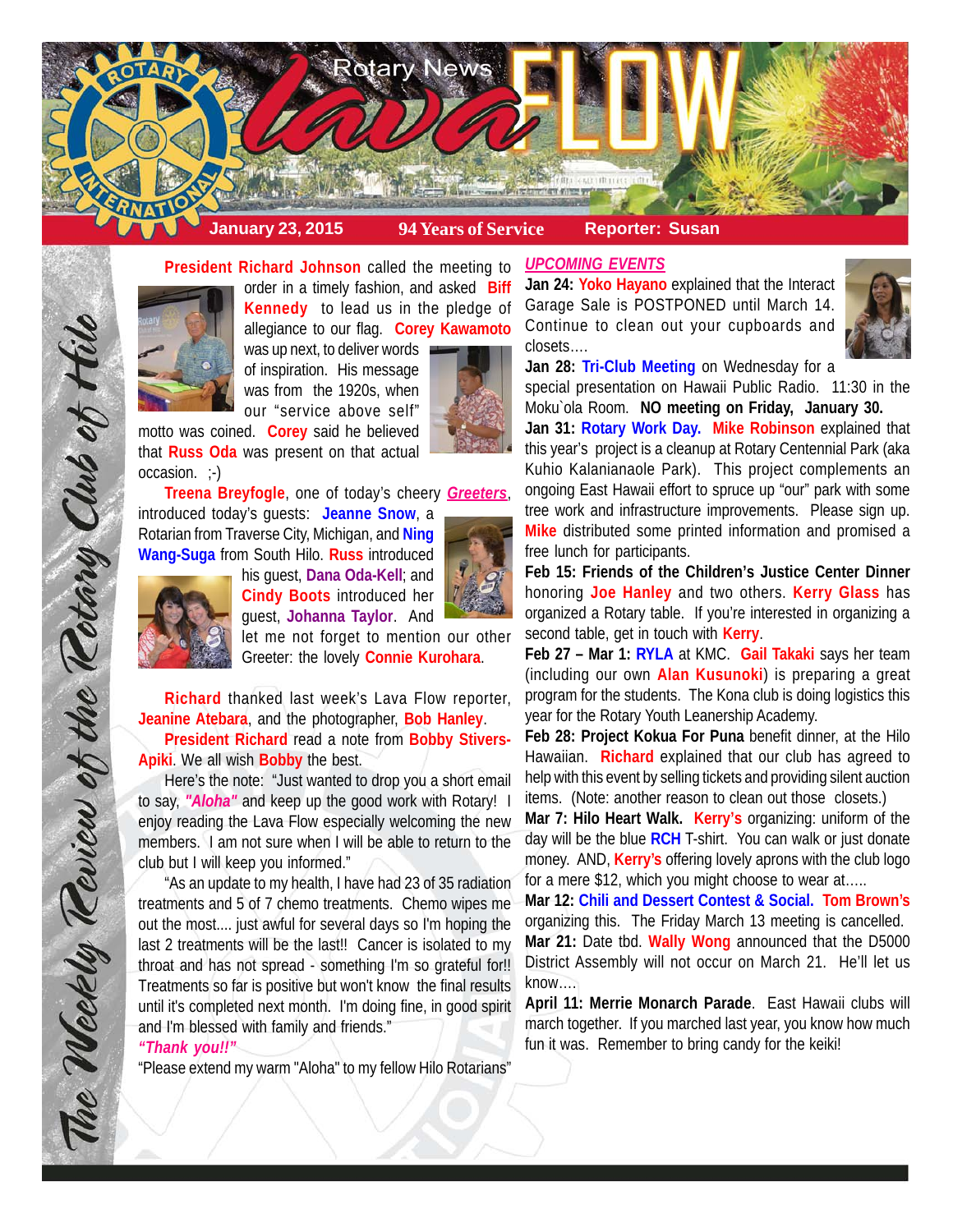

### **President Richard Johnson** called the meeting to



order in a timely fashion, and asked **Biff Kennedy** to lead us in the pledge of allegiance to our flag. **Corey Kawamoto** was up next, to deliver words

of inspiration. His message was from the 1920s, when our "service above self"



**Treena Breyfogle**, one of today's cheery *Greeters*,

introduced today's guests: **Jeanne Snow**, a Rotarian from Traverse City, Michigan, and **Ning Wang-Suga** from South Hilo. **Russ** introduced

his guest, **Dana Oda-Kell**; and **Cindy Boots** introduced her guest, **Johanna Taylor**. And





The Weekly Teview of the Tetary Club of Hilo

let me not forget to mention our other Greeter: the lovely **Connie Kurohara**.

**Richard** thanked last week's Lava Flow reporter, **Jeanine Atebara**, and the photographer, **Bob Hanley**. **President Richard** read a note from **Bobby Stivers-Apiki**. We all wish **Bobby** the best.

Here's the note: "Just wanted to drop you a short email to say, *"Aloha"* and keep up the good work with Rotary! I enjoy reading the Lava Flow especially welcoming the new members. I am not sure when I will be able to return to the club but I will keep you informed."

"As an update to my health, I have had 23 of 35 radiation treatments and 5 of 7 chemo treatments. Chemo wipes me out the most.... just awful for several days so I'm hoping the last 2 treatments will be the last!! Cancer is isolated to my throat and has not spread - something I'm so grateful for!! Treatments so far is positive but won't know the final results until it's completed next month. I'm doing fine, in good spirit and I'm blessed with family and friends."

#### *"Thank you!!"*

"Please extend my warm "Aloha" to my fellow Hilo Rotarians"

## *UPCOMING EVENTS*

**Jan 24: Yoko Hayano** explained that the Interact Garage Sale is POSTPONED until March 14. Continue to clean out your cupboards and closets….



**Jan 28: Tri-Club Meeting** on Wednesday for a special presentation on Hawaii Public Radio. 11:30 in the

Moku`ola Room. **NO meeting on Friday, January 30. Jan 31: Rotary Work Day. Mike Robinson** explained that this year's project is a cleanup at Rotary Centennial Park (aka Kuhio Kalanianaole Park). This project complements an ongoing East Hawaii effort to spruce up "our" park with some tree work and infrastructure improvements. Please sign up. **Mike** distributed some printed information and promised a free lunch for participants.

**Feb 15: Friends of the Children's Justice Center Dinner** honoring **Joe Hanley** and two others. **Kerry Glass** has organized a Rotary table. If you're interested in organizing a second table, get in touch with **Kerry**.

**Feb 27 – Mar 1: RYLA** at KMC. **Gail Takaki** says her team (including our own **Alan Kusunoki**) is preparing a great program for the students. The Kona club is doing logistics this year for the Rotary Youth Leanership Academy.

**Feb 28: Project Kokua For Puna** benefit dinner, at the Hilo Hawaiian. **Richard** explained that our club has agreed to help with this event by selling tickets and providing silent auction items. (Note: another reason to clean out those closets.)

**Mar 7: Hilo Heart Walk. Kerry's** organizing: uniform of the day will be the blue **RCH** T-shirt. You can walk or just donate money. AND, **Kerry's** offering lovely aprons with the club logo for a mere \$12, which you might choose to wear at.....

**Mar 12: Chili and Dessert Contest & Social. Tom Brown's** organizing this. The Friday March 13 meeting is cancelled. **Mar 21:** Date tbd. **Wally Wong** announced that the D5000 District Assembly will not occur on March 21. He'll let us know….

**April 11: Merrie Monarch Parade**. East Hawaii clubs will march together. If you marched last year, you know how much fun it was. Remember to bring candy for the keiki!